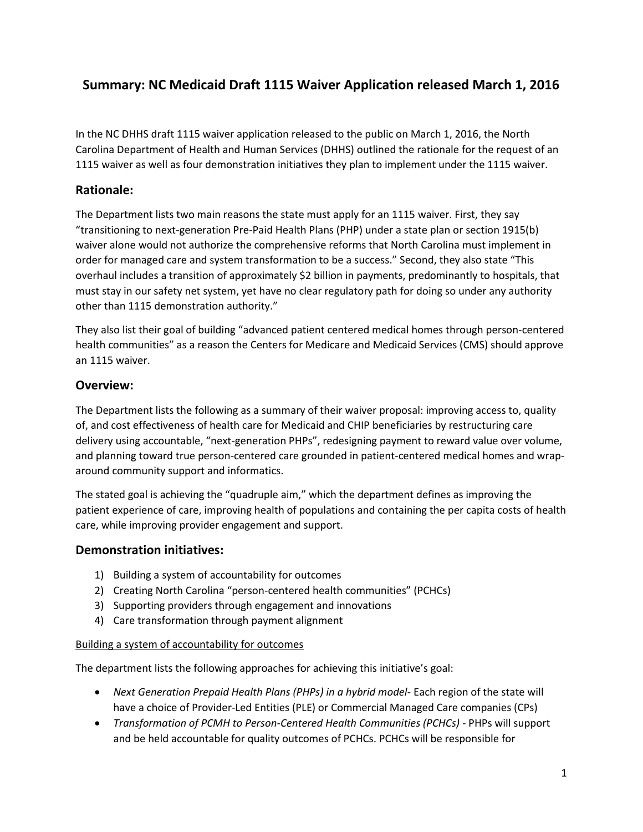# **Summary: NC Medicaid Draft 1115 Waiver Application released March 1, 2016**

In the NC DHHS draft 1115 waiver application released to the public on March 1, 2016, the North Carolina Department of Health and Human Services (DHHS) outlined the rationale for the request of an 1115 waiver as well as four demonstration initiatives they plan to implement under the 1115 waiver.

## **Rationale:**

The Department lists two main reasons the state must apply for an 1115 waiver. First, they say "transitioning to next-generation Pre-Paid Health Plans (PHP) under a state plan or section 1915(b) waiver alone would not authorize the comprehensive reforms that North Carolina must implement in order for managed care and system transformation to be a success." Second, they also state "This overhaul includes a transition of approximately \$2 billion in payments, predominantly to hospitals, that must stay in our safety net system, yet have no clear regulatory path for doing so under any authority other than 1115 demonstration authority."

They also list their goal of building "advanced patient centered medical homes through person-centered health communities" as a reason the Centers for Medicare and Medicaid Services (CMS) should approve an 1115 waiver.

## **Overview:**

The Department lists the following as a summary of their waiver proposal: improving access to, quality of, and cost effectiveness of health care for Medicaid and CHIP beneficiaries by restructuring care delivery using accountable, "next-generation PHPs", redesigning payment to reward value over volume, and planning toward true person-centered care grounded in patient-centered medical homes and wraparound community support and informatics.

The stated goal is achieving the "quadruple aim," which the department defines as improving the patient experience of care, improving health of populations and containing the per capita costs of health care, while improving provider engagement and support.

## **Demonstration initiatives:**

- 1) Building a system of accountability for outcomes
- 2) Creating North Carolina "person-centered health communities" (PCHCs)
- 3) Supporting providers through engagement and innovations
- 4) Care transformation through payment alignment

#### Building a system of accountability for outcomes

The department lists the following approaches for achieving this initiative's goal:

- *Next Generation Prepaid Health Plans (PHPs) in a hybrid model* Each region of the state will have a choice of Provider-Led Entities (PLE) or Commercial Managed Care companies (CPs)
- *Transformation of PCMH to Person-Centered Health Communities (PCHCs) -* PHPs will support and be held accountable for quality outcomes of PCHCs. PCHCs will be responsible for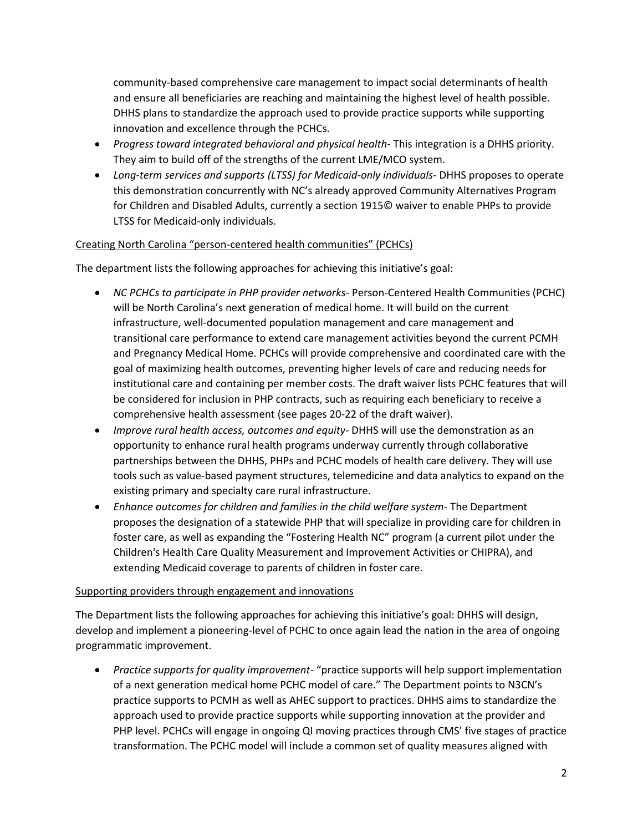community-based comprehensive care management to impact social determinants of health and ensure all beneficiaries are reaching and maintaining the highest level of health possible. DHHS plans to standardize the approach used to provide practice supports while supporting innovation and excellence through the PCHCs.

- *Progress toward integrated behavioral and physical health* This integration is a DHHS priority. They aim to build off of the strengths of the current LME/MCO system.
- *Long-term services and supports (LTSS) for Medicaid-only individuals* DHHS proposes to operate this demonstration concurrently with NC's already approved Community Alternatives Program for Children and Disabled Adults, currently a section 1915© waiver to enable PHPs to provide LTSS for Medicaid-only individuals.

#### Creating North Carolina "person-centered health communities" (PCHCs)

The department lists the following approaches for achieving this initiative's goal:

- *NC PCHCs to participate in PHP provider networks* Person-Centered Health Communities (PCHC) will be North Carolina's next generation of medical home. It will build on the current infrastructure, well-documented population management and care management and transitional care performance to extend care management activities beyond the current PCMH and Pregnancy Medical Home. PCHCs will provide comprehensive and coordinated care with the goal of maximizing health outcomes, preventing higher levels of care and reducing needs for institutional care and containing per member costs. The draft waiver lists PCHC features that will be considered for inclusion in PHP contracts, such as requiring each beneficiary to receive a comprehensive health assessment (see pages 20-22 of the draft waiver).
- *Improve rural health access, outcomes and equity* DHHS will use the demonstration as an opportunity to enhance rural health programs underway currently through collaborative partnerships between the DHHS, PHPs and PCHC models of health care delivery. They will use tools such as value-based payment structures, telemedicine and data analytics to expand on the existing primary and specialty care rural infrastructure.
- *Enhance outcomes for children and families in the child welfare system* The Department proposes the designation of a statewide PHP that will specialize in providing care for children in foster care, as well as expanding the "Fostering Health NC" program (a current pilot under the Children's Health Care Quality Measurement and Improvement Activities or CHIPRA), and extending Medicaid coverage to parents of children in foster care.

#### Supporting providers through engagement and innovations

The Department lists the following approaches for achieving this initiative's goal: DHHS will design, develop and implement a pioneering-level of PCHC to once again lead the nation in the area of ongoing programmatic improvement.

 *Practice supports for quality improvement*- "practice supports will help support implementation of a next generation medical home PCHC model of care." The Department points to N3CN's practice supports to PCMH as well as AHEC support to practices. DHHS aims to standardize the approach used to provide practice supports while supporting innovation at the provider and PHP level. PCHCs will engage in ongoing QI moving practices through CMS' five stages of practice transformation. The PCHC model will include a common set of quality measures aligned with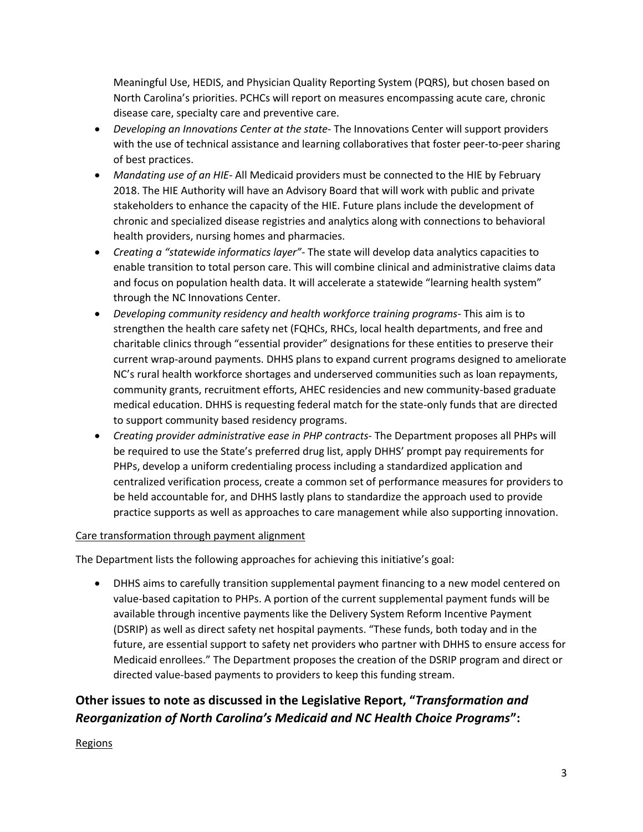Meaningful Use, HEDIS, and Physician Quality Reporting System (PQRS), but chosen based on North Carolina's priorities. PCHCs will report on measures encompassing acute care, chronic disease care, specialty care and preventive care.

- *Developing an Innovations Center at the state* The Innovations Center will support providers with the use of technical assistance and learning collaboratives that foster peer-to-peer sharing of best practices.
- *Mandating use of an HIE* All Medicaid providers must be connected to the HIE by February 2018. The HIE Authority will have an Advisory Board that will work with public and private stakeholders to enhance the capacity of the HIE. Future plans include the development of chronic and specialized disease registries and analytics along with connections to behavioral health providers, nursing homes and pharmacies.
- *Creating a "statewide informatics layer"-* The state will develop data analytics capacities to enable transition to total person care. This will combine clinical and administrative claims data and focus on population health data. It will accelerate a statewide "learning health system" through the NC Innovations Center.
- *Developing community residency and health workforce training programs* This aim is to strengthen the health care safety net (FQHCs, RHCs, local health departments, and free and charitable clinics through "essential provider" designations for these entities to preserve their current wrap-around payments. DHHS plans to expand current programs designed to ameliorate NC's rural health workforce shortages and underserved communities such as loan repayments, community grants, recruitment efforts, AHEC residencies and new community-based graduate medical education. DHHS is requesting federal match for the state-only funds that are directed to support community based residency programs.
- *Creating provider administrative ease in PHP contracts* The Department proposes all PHPs will be required to use the State's preferred drug list, apply DHHS' prompt pay requirements for PHPs, develop a uniform credentialing process including a standardized application and centralized verification process, create a common set of performance measures for providers to be held accountable for, and DHHS lastly plans to standardize the approach used to provide practice supports as well as approaches to care management while also supporting innovation.

#### Care transformation through payment alignment

The Department lists the following approaches for achieving this initiative's goal:

 DHHS aims to carefully transition supplemental payment financing to a new model centered on value-based capitation to PHPs. A portion of the current supplemental payment funds will be available through incentive payments like the Delivery System Reform Incentive Payment (DSRIP) as well as direct safety net hospital payments. "These funds, both today and in the future, are essential support to safety net providers who partner with DHHS to ensure access for Medicaid enrollees." The Department proposes the creation of the DSRIP program and direct or directed value-based payments to providers to keep this funding stream.

# **Other issues to note as discussed in the Legislative Report, "***Transformation and Reorganization of North Carolina's Medicaid and NC Health Choice Programs***":**

#### Regions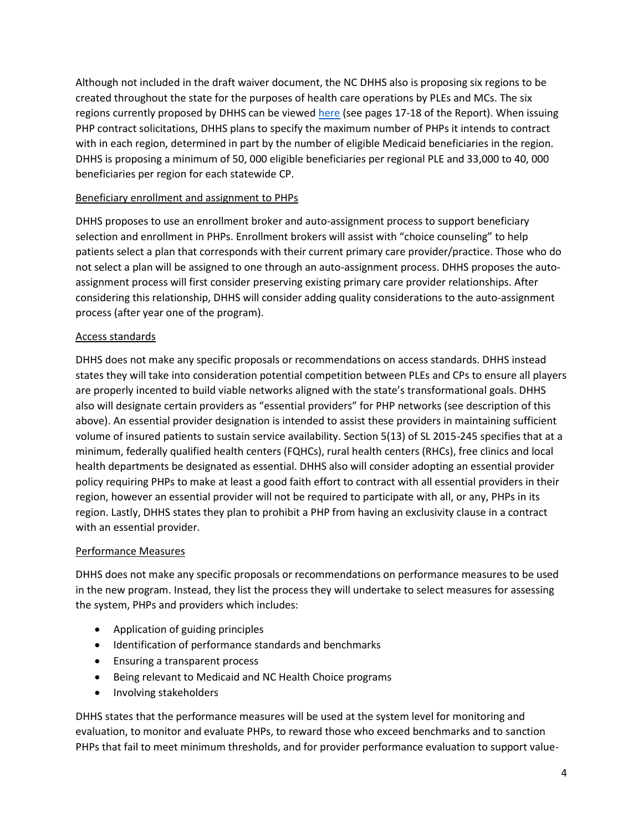Although not included in the draft waiver document, the NC DHHS also is proposing six regions to be created throughout the state for the purposes of health care operations by PLEs and MCs. The six regions currently proposed by DHHS can be viewed [here](http://www.ncmedsoc.org/wp-content/uploads/2016/03/Slide29-Item-V-Medicaid-NCHC_Presentation_Report-to-JLOC_2016-03-01AM.pdf) (see pages 17-18 of the Report). When issuing PHP contract solicitations, DHHS plans to specify the maximum number of PHPs it intends to contract with in each region, determined in part by the number of eligible Medicaid beneficiaries in the region. DHHS is proposing a minimum of 50, 000 eligible beneficiaries per regional PLE and 33,000 to 40, 000 beneficiaries per region for each statewide CP.

#### Beneficiary enrollment and assignment to PHPs

DHHS proposes to use an enrollment broker and auto-assignment process to support beneficiary selection and enrollment in PHPs. Enrollment brokers will assist with "choice counseling" to help patients select a plan that corresponds with their current primary care provider/practice. Those who do not select a plan will be assigned to one through an auto-assignment process. DHHS proposes the autoassignment process will first consider preserving existing primary care provider relationships. After considering this relationship, DHHS will consider adding quality considerations to the auto-assignment process (after year one of the program).

#### Access standards

DHHS does not make any specific proposals or recommendations on access standards. DHHS instead states they will take into consideration potential competition between PLEs and CPs to ensure all players are properly incented to build viable networks aligned with the state's transformational goals. DHHS also will designate certain providers as "essential providers" for PHP networks (see description of this above). An essential provider designation is intended to assist these providers in maintaining sufficient volume of insured patients to sustain service availability. Section 5(13) of SL 2015-245 specifies that at a minimum, federally qualified health centers (FQHCs), rural health centers (RHCs), free clinics and local health departments be designated as essential. DHHS also will consider adopting an essential provider policy requiring PHPs to make at least a good faith effort to contract with all essential providers in their region, however an essential provider will not be required to participate with all, or any, PHPs in its region. Lastly, DHHS states they plan to prohibit a PHP from having an exclusivity clause in a contract with an essential provider.

#### Performance Measures

DHHS does not make any specific proposals or recommendations on performance measures to be used in the new program. Instead, they list the process they will undertake to select measures for assessing the system, PHPs and providers which includes:

- Application of guiding principles
- Identification of performance standards and benchmarks
- Ensuring a transparent process
- Being relevant to Medicaid and NC Health Choice programs
- Involving stakeholders

DHHS states that the performance measures will be used at the system level for monitoring and evaluation, to monitor and evaluate PHPs, to reward those who exceed benchmarks and to sanction PHPs that fail to meet minimum thresholds, and for provider performance evaluation to support value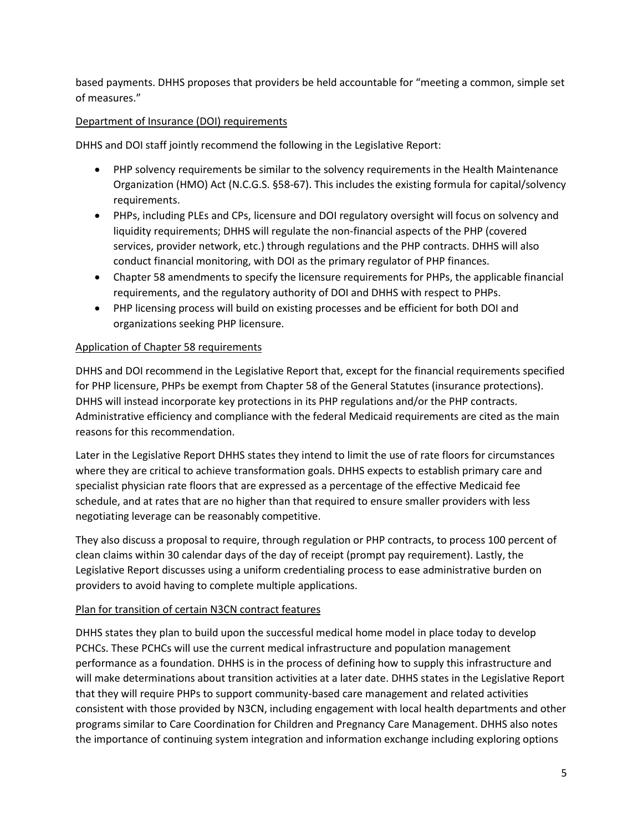based payments. DHHS proposes that providers be held accountable for "meeting a common, simple set of measures."

### Department of Insurance (DOI) requirements

DHHS and DOI staff jointly recommend the following in the Legislative Report:

- PHP solvency requirements be similar to the solvency requirements in the Health Maintenance Organization (HMO) Act (N.C.G.S. §58-67). This includes the existing formula for capital/solvency requirements.
- PHPs, including PLEs and CPs, licensure and DOI regulatory oversight will focus on solvency and liquidity requirements; DHHS will regulate the non-financial aspects of the PHP (covered services, provider network, etc.) through regulations and the PHP contracts. DHHS will also conduct financial monitoring, with DOI as the primary regulator of PHP finances.
- Chapter 58 amendments to specify the licensure requirements for PHPs, the applicable financial requirements, and the regulatory authority of DOI and DHHS with respect to PHPs.
- PHP licensing process will build on existing processes and be efficient for both DOI and organizations seeking PHP licensure.

#### Application of Chapter 58 requirements

DHHS and DOI recommend in the Legislative Report that, except for the financial requirements specified for PHP licensure, PHPs be exempt from Chapter 58 of the General Statutes (insurance protections). DHHS will instead incorporate key protections in its PHP regulations and/or the PHP contracts. Administrative efficiency and compliance with the federal Medicaid requirements are cited as the main reasons for this recommendation.

Later in the Legislative Report DHHS states they intend to limit the use of rate floors for circumstances where they are critical to achieve transformation goals. DHHS expects to establish primary care and specialist physician rate floors that are expressed as a percentage of the effective Medicaid fee schedule, and at rates that are no higher than that required to ensure smaller providers with less negotiating leverage can be reasonably competitive.

They also discuss a proposal to require, through regulation or PHP contracts, to process 100 percent of clean claims within 30 calendar days of the day of receipt (prompt pay requirement). Lastly, the Legislative Report discusses using a uniform credentialing process to ease administrative burden on providers to avoid having to complete multiple applications.

#### Plan for transition of certain N3CN contract features

DHHS states they plan to build upon the successful medical home model in place today to develop PCHCs. These PCHCs will use the current medical infrastructure and population management performance as a foundation. DHHS is in the process of defining how to supply this infrastructure and will make determinations about transition activities at a later date. DHHS states in the Legislative Report that they will require PHPs to support community-based care management and related activities consistent with those provided by N3CN, including engagement with local health departments and other programs similar to Care Coordination for Children and Pregnancy Care Management. DHHS also notes the importance of continuing system integration and information exchange including exploring options